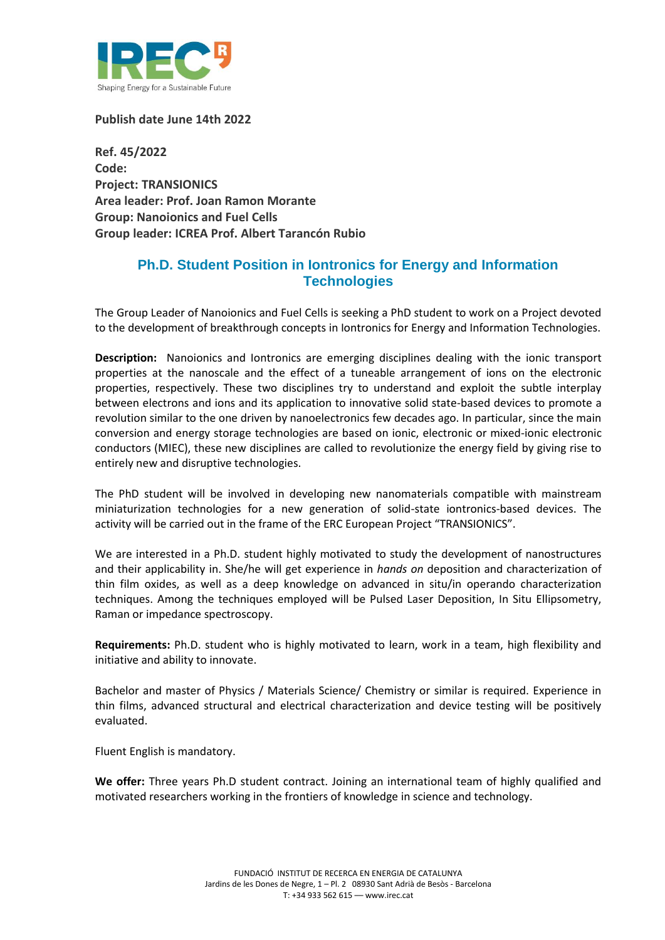

**Publish date June 14th 2022**

**Ref. 45/2022 Code: Project: TRANSIONICS Area leader: Prof. Joan Ramon Morante Group: Nanoionics and Fuel Cells Group leader: ICREA Prof. Albert Tarancón Rubio**

## **Ph.D. Student Position in Iontronics for Energy and Information Technologies**

The Group Leader of Nanoionics and Fuel Cells is seeking a PhD student to work on a Project devoted to the development of breakthrough concepts in Iontronics for Energy and Information Technologies.

**Description:** Nanoionics and Iontronics are emerging disciplines dealing with the ionic transport properties at the nanoscale and the effect of a tuneable arrangement of ions on the electronic properties, respectively. These two disciplines try to understand and exploit the subtle interplay between electrons and ions and its application to innovative solid state-based devices to promote a revolution similar to the one driven by nanoelectronics few decades ago. In particular, since the main conversion and energy storage technologies are based on ionic, electronic or mixed-ionic electronic conductors (MIEC), these new disciplines are called to revolutionize the energy field by giving rise to entirely new and disruptive technologies.

The PhD student will be involved in developing new nanomaterials compatible with mainstream miniaturization technologies for a new generation of solid-state iontronics-based devices. The activity will be carried out in the frame of the ERC European Project "TRANSIONICS".

We are interested in a Ph.D. student highly motivated to study the development of nanostructures and their applicability in. She/he will get experience in *hands on* deposition and characterization of thin film oxides, as well as a deep knowledge on advanced in situ/in operando characterization techniques. Among the techniques employed will be Pulsed Laser Deposition, In Situ Ellipsometry, Raman or impedance spectroscopy.

**Requirements:** Ph.D. student who is highly motivated to learn, work in a team, high flexibility and initiative and ability to innovate.

Bachelor and master of Physics / Materials Science/ Chemistry or similar is required. Experience in thin films, advanced structural and electrical characterization and device testing will be positively evaluated.

Fluent English is mandatory.

**We offer:** Three years Ph.D student contract. Joining an international team of highly qualified and motivated researchers working in the frontiers of knowledge in science and technology.